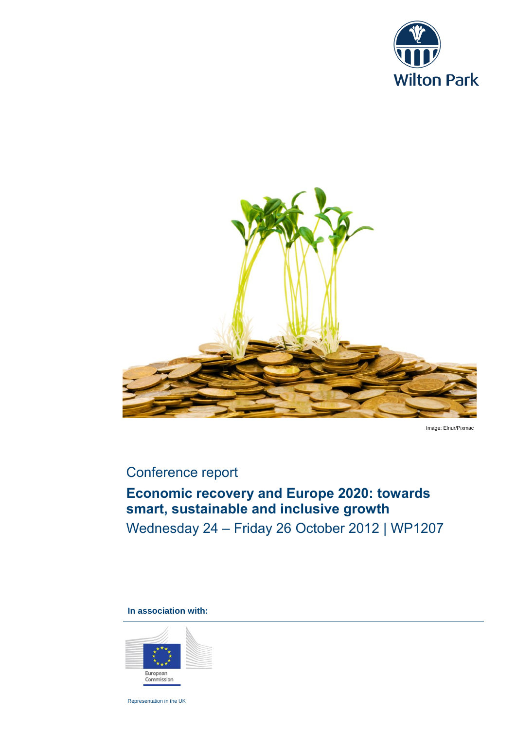



Image: Elnur/Pixmac

## Conference report

# **Economic recovery and Europe 2020: towards smart, sustainable and inclusive growth**

Wednesday 24 – Friday 26 October 2012 | WP1207

**In association with:**



Representation in the UK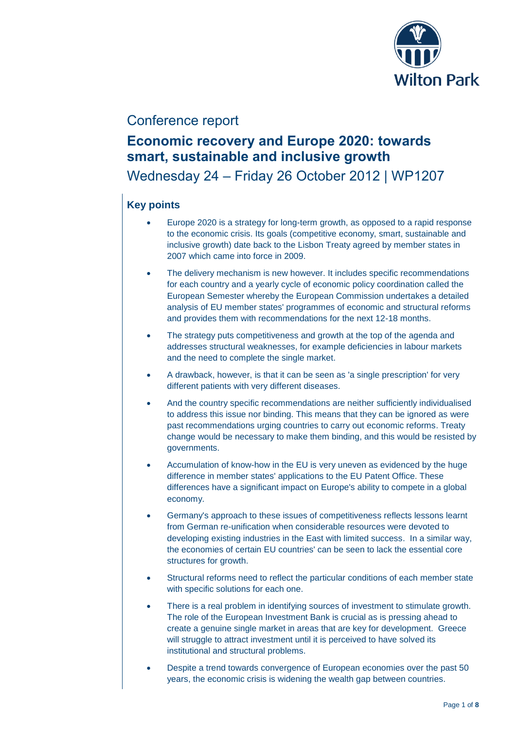

### Conference report

## **Economic recovery and Europe 2020: towards smart, sustainable and inclusive growth**

Wednesday 24 – Friday 26 October 2012 | WP1207

### **Key points**

- Europe 2020 is a strategy for long-term growth, as opposed to a rapid response to the economic crisis. Its goals (competitive economy, smart, sustainable and inclusive growth) date back to the Lisbon Treaty agreed by member states in 2007 which came into force in 2009.
- The delivery mechanism is new however. It includes specific recommendations for each country and a yearly cycle of economic policy coordination called the European Semester whereby the European Commission undertakes a detailed analysis of EU member states' programmes of economic and structural reforms and provides them with recommendations for the next 12-18 months.
- The strategy puts competitiveness and growth at the top of the agenda and addresses structural weaknesses, for example deficiencies in labour markets and the need to complete the single market.
- A drawback, however, is that it can be seen as 'a single prescription' for very different patients with very different diseases.
- And the country specific recommendations are neither sufficiently individualised to address this issue nor binding. This means that they can be ignored as were past recommendations urging countries to carry out economic reforms. Treaty change would be necessary to make them binding, and this would be resisted by governments.
- Accumulation of know-how in the EU is very uneven as evidenced by the huge difference in member states' applications to the EU Patent Office. These differences have a significant impact on Europe's ability to compete in a global economy.
- Germany's approach to these issues of competitiveness reflects lessons learnt from German re-unification when considerable resources were devoted to developing existing industries in the East with limited success. In a similar way, the economies of certain EU countries' can be seen to lack the essential core structures for growth.
- Structural reforms need to reflect the particular conditions of each member state with specific solutions for each one.
- There is a real problem in identifying sources of investment to stimulate growth. The role of the European Investment Bank is crucial as is pressing ahead to create a genuine single market in areas that are key for development. Greece will struggle to attract investment until it is perceived to have solved its institutional and structural problems.
- Despite a trend towards convergence of European economies over the past 50 years, the economic crisis is widening the wealth gap between countries.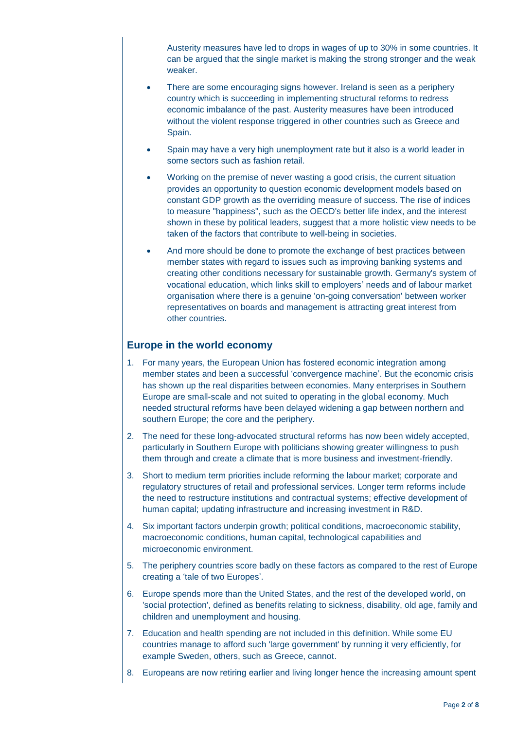Austerity measures have led to drops in wages of up to 30% in some countries. It can be argued that the single market is making the strong stronger and the weak weaker.

- There are some encouraging signs however. Ireland is seen as a periphery country which is succeeding in implementing structural reforms to redress economic imbalance of the past. Austerity measures have been introduced without the violent response triggered in other countries such as Greece and Spain.
- Spain may have a very high unemployment rate but it also is a world leader in some sectors such as fashion retail.
- Working on the premise of never wasting a good crisis, the current situation provides an opportunity to question economic development models based on constant GDP growth as the overriding measure of success. The rise of indices to measure "happiness", such as the OECD's better life index, and the interest shown in these by political leaders, suggest that a more holistic view needs to be taken of the factors that contribute to well-being in societies.
- And more should be done to promote the exchange of best practices between member states with regard to issues such as improving banking systems and creating other conditions necessary for sustainable growth. Germany's system of vocational education, which links skill to employers' needs and of labour market organisation where there is a genuine 'on-going conversation' between worker representatives on boards and management is attracting great interest from other countries.

#### **Europe in the world economy**

- 1. For many years, the European Union has fostered economic integration among member states and been a successful 'convergence machine'. But the economic crisis has shown up the real disparities between economies. Many enterprises in Southern Europe are small-scale and not suited to operating in the global economy. Much needed structural reforms have been delayed widening a gap between northern and southern Europe; the core and the periphery.
- 2. The need for these long-advocated structural reforms has now been widely accepted, particularly in Southern Europe with politicians showing greater willingness to push them through and create a climate that is more business and investment-friendly.
- 3. Short to medium term priorities include reforming the labour market; corporate and regulatory structures of retail and professional services. Longer term reforms include the need to restructure institutions and contractual systems; effective development of human capital; updating infrastructure and increasing investment in R&D.
- 4. Six important factors underpin growth; political conditions, macroeconomic stability, macroeconomic conditions, human capital, technological capabilities and microeconomic environment.
- 5. The periphery countries score badly on these factors as compared to the rest of Europe creating a 'tale of two Europes'.
- 6. Europe spends more than the United States, and the rest of the developed world, on 'social protection', defined as benefits relating to sickness, disability, old age, family and children and unemployment and housing.
- 7. Education and health spending are not included in this definition. While some EU countries manage to afford such 'large government' by running it very efficiently, for example Sweden, others, such as Greece, cannot.
- 8. Europeans are now retiring earlier and living longer hence the increasing amount spent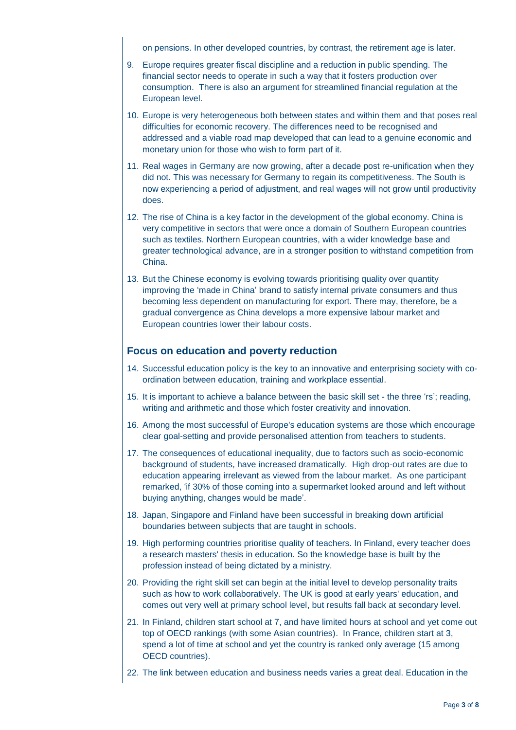on pensions. In other developed countries, by contrast, the retirement age is later.

- 9. Europe requires greater fiscal discipline and a reduction in public spending. The financial sector needs to operate in such a way that it fosters production over consumption. There is also an argument for streamlined financial regulation at the European level.
- 10. Europe is very heterogeneous both between states and within them and that poses real difficulties for economic recovery. The differences need to be recognised and addressed and a viable road map developed that can lead to a genuine economic and monetary union for those who wish to form part of it.
- 11. Real wages in Germany are now growing, after a decade post re-unification when they did not. This was necessary for Germany to regain its competitiveness. The South is now experiencing a period of adjustment, and real wages will not grow until productivity does.
- 12. The rise of China is a key factor in the development of the global economy. China is very competitive in sectors that were once a domain of Southern European countries such as textiles. Northern European countries, with a wider knowledge base and greater technological advance, are in a stronger position to withstand competition from China.
- 13. But the Chinese economy is evolving towards prioritising quality over quantity improving the 'made in China' brand to satisfy internal private consumers and thus becoming less dependent on manufacturing for export. There may, therefore, be a gradual convergence as China develops a more expensive labour market and European countries lower their labour costs.

#### **Focus on education and poverty reduction**

- 14. Successful education policy is the key to an innovative and enterprising society with coordination between education, training and workplace essential.
- 15. It is important to achieve a balance between the basic skill set the three 'rs'; reading, writing and arithmetic and those which foster creativity and innovation.
- 16. Among the most successful of Europe's education systems are those which encourage clear goal-setting and provide personalised attention from teachers to students.
- 17. The consequences of educational inequality, due to factors such as socio-economic background of students, have increased dramatically. High drop-out rates are due to education appearing irrelevant as viewed from the labour market. As one participant remarked, 'if 30% of those coming into a supermarket looked around and left without buying anything, changes would be made'.
- 18. Japan, Singapore and Finland have been successful in breaking down artificial boundaries between subjects that are taught in schools.
- 19. High performing countries prioritise quality of teachers. In Finland, every teacher does a research masters' thesis in education. So the knowledge base is built by the profession instead of being dictated by a ministry.
- 20. Providing the right skill set can begin at the initial level to develop personality traits such as how to work collaboratively. The UK is good at early years' education, and comes out very well at primary school level, but results fall back at secondary level.
- 21. In Finland, children start school at 7, and have limited hours at school and yet come out top of OECD rankings (with some Asian countries). In France, children start at 3, spend a lot of time at school and yet the country is ranked only average (15 among OECD countries).
- 22. The link between education and business needs varies a great deal. Education in the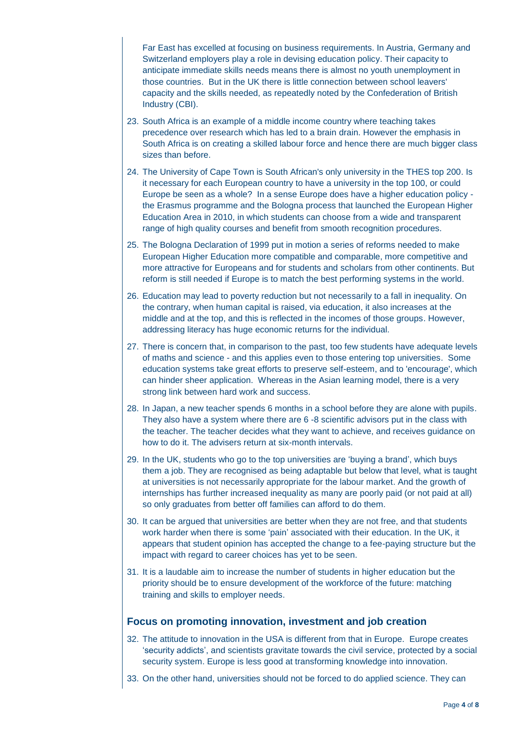Far East has excelled at focusing on business requirements. In Austria, Germany and Switzerland employers play a role in devising education policy. Their capacity to anticipate immediate skills needs means there is almost no youth unemployment in those countries. But in the UK there is little connection between school leavers' capacity and the skills needed, as repeatedly noted by the Confederation of British Industry (CBI).

- 23. South Africa is an example of a middle income country where teaching takes precedence over research which has led to a brain drain. However the emphasis in South Africa is on creating a skilled labour force and hence there are much bigger class sizes than before.
- 24. The University of Cape Town is South African's only university in the THES top 200. Is it necessary for each European country to have a university in the top 100, or could Europe be seen as a whole? In a sense Europe does have a higher education policy the Erasmus programme and the Bologna process that launched the European Higher Education Area in 2010, in which students can choose from a wide and transparent range of high quality courses and benefit from smooth recognition procedures.
- 25. The Bologna Declaration of 1999 put in motion a series of reforms needed to make European Higher Education more compatible and comparable, more competitive and more attractive for Europeans and for students and scholars from other continents. But reform is still needed if Europe is to match the best performing systems in the world.
- 26. Education may lead to poverty reduction but not necessarily to a fall in inequality. On the contrary, when human capital is raised, via education, it also increases at the middle and at the top, and this is reflected in the incomes of those groups. However, addressing literacy has huge economic returns for the individual.
- 27. There is concern that, in comparison to the past, too few students have adequate levels of maths and science - and this applies even to those entering top universities. Some education systems take great efforts to preserve self-esteem, and to 'encourage', which can hinder sheer application. Whereas in the Asian learning model, there is a very strong link between hard work and success.
- 28. In Japan, a new teacher spends 6 months in a school before they are alone with pupils. They also have a system where there are 6 -8 scientific advisors put in the class with the teacher. The teacher decides what they want to achieve, and receives guidance on how to do it. The advisers return at six-month intervals.
- 29. In the UK, students who go to the top universities are 'buying a brand', which buys them a job. They are recognised as being adaptable but below that level, what is taught at universities is not necessarily appropriate for the labour market. And the growth of internships has further increased inequality as many are poorly paid (or not paid at all) so only graduates from better off families can afford to do them.
- 30. It can be argued that universities are better when they are not free, and that students work harder when there is some 'pain' associated with their education. In the UK, it appears that student opinion has accepted the change to a fee-paying structure but the impact with regard to career choices has yet to be seen.
- 31. It is a laudable aim to increase the number of students in higher education but the priority should be to ensure development of the workforce of the future: matching training and skills to employer needs.

#### **Focus on promoting innovation, investment and job creation**

- 32. The attitude to innovation in the USA is different from that in Europe. Europe creates 'security addicts', and scientists gravitate towards the civil service, protected by a social security system. Europe is less good at transforming knowledge into innovation.
- 33. On the other hand, universities should not be forced to do applied science. They can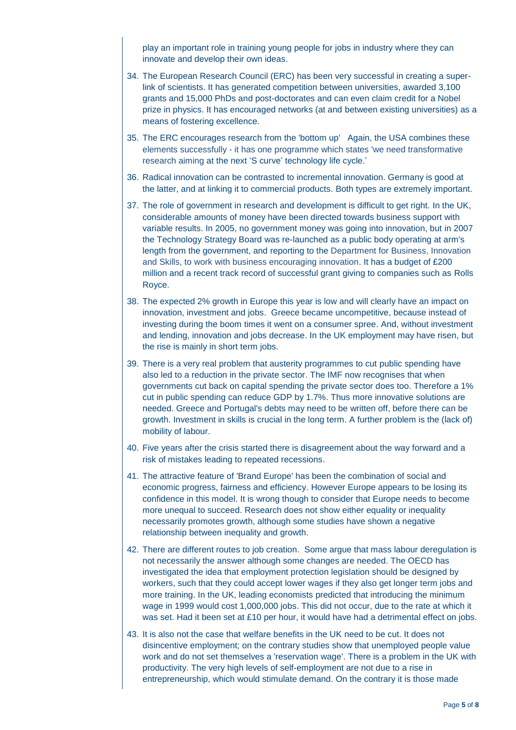play an important role in training young people for jobs in industry where they can innovate and develop their own ideas.

- 34. The European Research Council (ERC) has been very successful in creating a superlink of scientists. It has generated competition between universities, awarded 3,100 grants and 15,000 PhDs and post-doctorates and can even claim credit for a Nobel prize in physics. It has encouraged networks (at and between existing universities) as a means of fostering excellence.
- 35. The ERC encourages research from the 'bottom up' Again, the USA combines these elements successfully - it has one programme which states 'we need transformative research aiming at the next 'S curve' technology life cycle.'
- 36. Radical innovation can be contrasted to incremental innovation. Germany is good at the latter, and at linking it to commercial products. Both types are extremely important.
- 37. The role of government in research and development is difficult to get right. In the UK, considerable amounts of money have been directed towards business support with variable results. In 2005, no government money was going into innovation, but in 2007 the Technology Strategy Board was re-launched as a public body operating at arm's length from the government, and reporting to the [Department for Business, Innovation](http://en.wikipedia.org/wiki/Department_for_Business,_Innovation_and_Skills)  [and Skills,](http://en.wikipedia.org/wiki/Department_for_Business,_Innovation_and_Skills) to work with business encouraging innovation. It has a budget of £200 million and a recent track record of successful grant giving to companies such as Rolls Royce.
- 38. The expected 2% growth in Europe this year is low and will clearly have an impact on innovation, investment and jobs. Greece became uncompetitive, because instead of investing during the boom times it went on a consumer spree. And, without investment and lending, innovation and jobs decrease. In the UK employment may have risen, but the rise is mainly in short term jobs.
- 39. There is a very real problem that austerity programmes to cut public spending have also led to a reduction in the private sector. The IMF now recognises that when governments cut back on capital spending the private sector does too. Therefore a 1% cut in public spending can reduce GDP by 1.7%. Thus more innovative solutions are needed. Greece and Portugal's debts may need to be written off, before there can be growth. Investment in skills is crucial in the long term. A further problem is the (lack of) mobility of labour.
- 40. Five years after the crisis started there is disagreement about the way forward and a risk of mistakes leading to repeated recessions.
- 41. The attractive feature of 'Brand Europe' has been the combination of social and economic progress, fairness and efficiency. However Europe appears to be losing its confidence in this model. It is wrong though to consider that Europe needs to become more unequal to succeed. Research does not show either equality or inequality necessarily promotes growth, although some studies have shown a negative relationship between inequality and growth.
- 42. There are different routes to job creation. Some argue that mass labour deregulation is not necessarily the answer although some changes are needed. The OECD has investigated the idea that employment protection legislation should be designed by workers, such that they could accept lower wages if they also get longer term jobs and more training. In the UK, leading economists predicted that introducing the minimum wage in 1999 would cost 1,000,000 jobs. This did not occur, due to the rate at which it was set. Had it been set at £10 per hour, it would have had a detrimental effect on jobs.
- 43. It is also not the case that welfare benefits in the UK need to be cut. It does not disincentive employment; on the contrary studies show that unemployed people value work and do not set themselves a 'reservation wage'. There is a problem in the UK with productivity. The very high levels of self-employment are not due to a rise in entrepreneurship, which would stimulate demand. On the contrary it is those made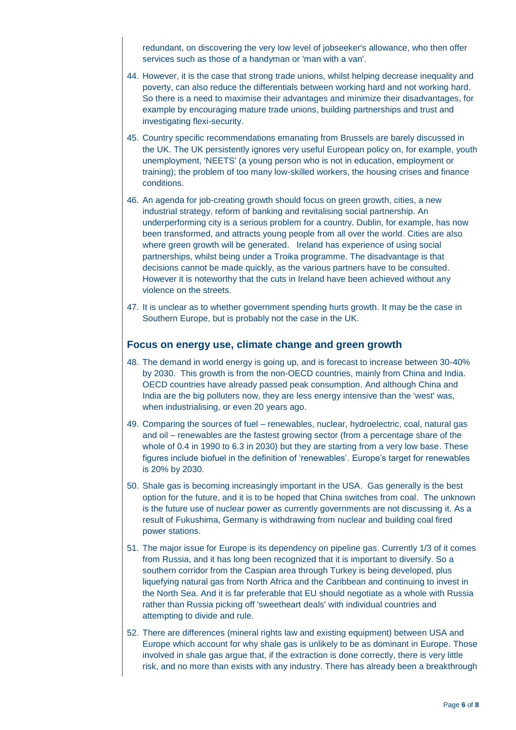redundant, on discovering the very low level of jobseeker's allowance, who then offer services such as those of a handyman or 'man with a van'.

- 44. However, it is the case that strong trade unions, whilst helping decrease inequality and poverty, can also reduce the differentials between working hard and not working hard. So there is a need to maximise their advantages and minimize their disadvantages, for example by encouraging mature trade unions, building partnerships and trust and investigating flexi-security.
- 45. Country specific recommendations emanating from Brussels are barely discussed in the UK. The UK persistently ignores very useful European policy on, for example, youth unemployment, 'NEETS' (a young person who is not in education, employment or training); the problem of too many low-skilled workers, the housing crises and finance conditions.
- 46. An agenda for job-creating growth should focus on green growth, cities, a new industrial strategy, reform of banking and revitalising social partnership. An underperforming city is a serious problem for a country. Dublin, for example, has now been transformed, and attracts young people from all over the world. Cities are also where green growth will be generated. Ireland has experience of using social partnerships, whilst being under a Troika programme. The disadvantage is that decisions cannot be made quickly, as the various partners have to be consulted. However it is noteworthy that the cuts in Ireland have been achieved without any violence on the streets.
- 47. It is unclear as to whether government spending hurts growth. It may be the case in Southern Europe, but is probably not the case in the UK.

#### **Focus on energy use, climate change and green growth**

- 48. The demand in world energy is going up, and is forecast to increase between 30-40% by 2030. This growth is from the non-OECD countries, mainly from China and India. OECD countries have already passed peak consumption. And although China and India are the big polluters now, they are less energy intensive than the 'west' was, when industrialising, or even 20 years ago.
- 49. Comparing the sources of fuel renewables, nuclear, hydroelectric, coal, natural gas and oil – renewables are the fastest growing sector (from a percentage share of the whole of 0.4 in 1990 to 6.3 in 2030) but they are starting from a very low base. These figures include biofuel in the definition of 'renewables'. Europe's target for renewables is 20% by 2030.
- 50. Shale gas is becoming increasingly important in the USA. Gas generally is the best option for the future, and it is to be hoped that China switches from coal. The unknown is the future use of nuclear power as currently governments are not discussing it. As a result of Fukushima, Germany is withdrawing from nuclear and building coal fired power stations.
- 51. The major issue for Europe is its dependency on pipeline gas. Currently 1/3 of it comes from Russia, and it has long been recognized that it is important to diversify. So a southern corridor from the Caspian area through Turkey is being developed, plus liquefying natural gas from North Africa and the Caribbean and continuing to invest in the North Sea. And it is far preferable that EU should negotiate as a whole with Russia rather than Russia picking off 'sweetheart deals' with individual countries and attempting to divide and rule.
- 52. There are differences (mineral rights law and existing equipment) between USA and Europe which account for why shale gas is unlikely to be as dominant in Europe. Those involved in shale gas argue that, if the extraction is done correctly, there is very little risk, and no more than exists with any industry. There has already been a breakthrough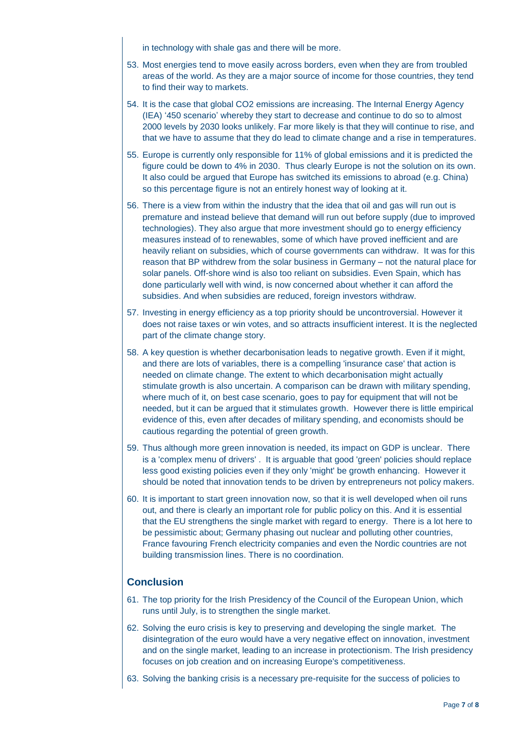in technology with shale gas and there will be more.

- 53. Most energies tend to move easily across borders, even when they are from troubled areas of the world. As they are a major source of income for those countries, they tend to find their way to markets.
- 54. It is the case that global CO2 emissions are increasing. The Internal Energy Agency (IEA) '450 scenario' whereby they start to decrease and continue to do so to almost 2000 levels by 2030 looks unlikely. Far more likely is that they will continue to rise, and that we have to assume that they do lead to climate change and a rise in temperatures.
- 55. Europe is currently only responsible for 11% of global emissions and it is predicted the figure could be down to 4% in 2030. Thus clearly Europe is not the solution on its own. It also could be argued that Europe has switched its emissions to abroad (e.g. China) so this percentage figure is not an entirely honest way of looking at it.
- 56. There is a view from within the industry that the idea that oil and gas will run out is premature and instead believe that demand will run out before supply (due to improved technologies). They also argue that more investment should go to energy efficiency measures instead of to renewables, some of which have proved inefficient and are heavily reliant on subsidies, which of course governments can withdraw. It was for this reason that BP withdrew from the solar business in Germany – not the natural place for solar panels. Off-shore wind is also too reliant on subsidies. Even Spain, which has done particularly well with wind, is now concerned about whether it can afford the subsidies. And when subsidies are reduced, foreign investors withdraw.
- 57. Investing in energy efficiency as a top priority should be uncontroversial. However it does not raise taxes or win votes, and so attracts insufficient interest. It is the neglected part of the climate change story.
- 58. A key question is whether decarbonisation leads to negative growth. Even if it might, and there are lots of variables, there is a compelling 'insurance case' that action is needed on climate change. The extent to which decarbonisation might actually stimulate growth is also uncertain. A comparison can be drawn with military spending, where much of it, on best case scenario, goes to pay for equipment that will not be needed, but it can be argued that it stimulates growth. However there is little empirical evidence of this, even after decades of military spending, and economists should be cautious regarding the potential of green growth.
- 59. Thus although more green innovation is needed, its impact on GDP is unclear. There is a 'complex menu of drivers' . It is arguable that good 'green' policies should replace less good existing policies even if they only 'might' be growth enhancing. However it should be noted that innovation tends to be driven by entrepreneurs not policy makers.
- 60. It is important to start green innovation now, so that it is well developed when oil runs out, and there is clearly an important role for public policy on this. And it is essential that the EU strengthens the single market with regard to energy. There is a lot here to be pessimistic about; Germany phasing out nuclear and polluting other countries, France favouring French electricity companies and even the Nordic countries are not building transmission lines. There is no coordination.

#### **Conclusion**

- 61. The top priority for the Irish Presidency of the Council of the European Union, which runs until July, is to strengthen the single market.
- 62. Solving the euro crisis is key to preserving and developing the single market. The disintegration of the euro would have a very negative effect on innovation, investment and on the single market, leading to an increase in protectionism. The Irish presidency focuses on job creation and on increasing Europe's competitiveness.
- 63. Solving the banking crisis is a necessary pre-requisite for the success of policies to